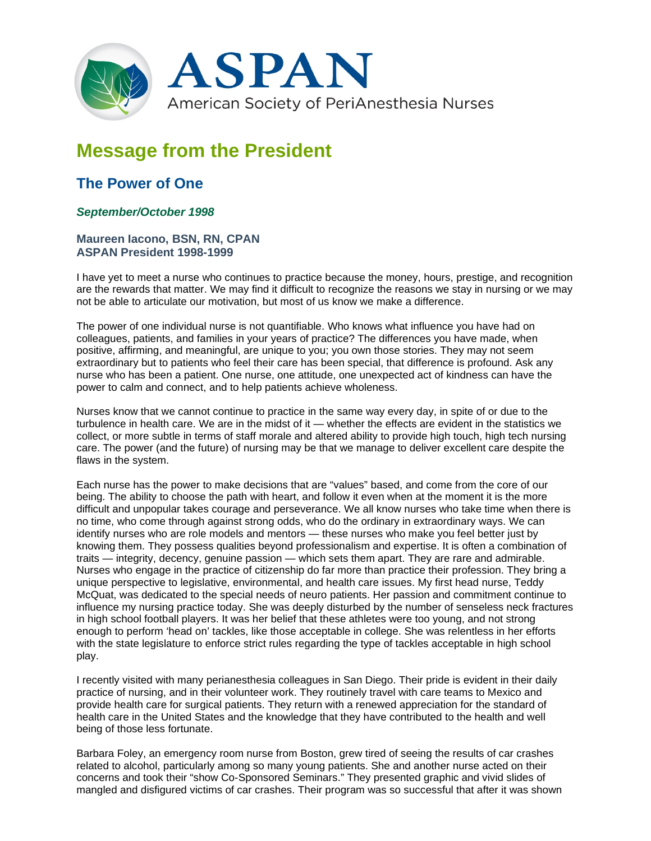

## **Message from the President**

## **The Power of One**

## *September/October 1998*

## **Maureen Iacono, BSN, RN, CPAN ASPAN President 1998-1999**

I have yet to meet a nurse who continues to practice because the money, hours, prestige, and recognition are the rewards that matter. We may find it difficult to recognize the reasons we stay in nursing or we may not be able to articulate our motivation, but most of us know we make a difference.

The power of one individual nurse is not quantifiable. Who knows what influence you have had on colleagues, patients, and families in your years of practice? The differences you have made, when positive, affirming, and meaningful, are unique to you; you own those stories. They may not seem extraordinary but to patients who feel their care has been special, that difference is profound. Ask any nurse who has been a patient. One nurse, one attitude, one unexpected act of kindness can have the power to calm and connect, and to help patients achieve wholeness.

Nurses know that we cannot continue to practice in the same way every day, in spite of or due to the turbulence in health care. We are in the midst of it — whether the effects are evident in the statistics we collect, or more subtle in terms of staff morale and altered ability to provide high touch, high tech nursing care. The power (and the future) of nursing may be that we manage to deliver excellent care despite the flaws in the system.

Each nurse has the power to make decisions that are "values" based, and come from the core of our being. The ability to choose the path with heart, and follow it even when at the moment it is the more difficult and unpopular takes courage and perseverance. We all know nurses who take time when there is no time, who come through against strong odds, who do the ordinary in extraordinary ways. We can identify nurses who are role models and mentors — these nurses who make you feel better just by knowing them. They possess qualities beyond professionalism and expertise. It is often a combination of traits — integrity, decency, genuine passion — which sets them apart. They are rare and admirable. Nurses who engage in the practice of citizenship do far more than practice their profession. They bring a unique perspective to legislative, environmental, and health care issues. My first head nurse, Teddy McQuat, was dedicated to the special needs of neuro patients. Her passion and commitment continue to influence my nursing practice today. She was deeply disturbed by the number of senseless neck fractures in high school football players. It was her belief that these athletes were too young, and not strong enough to perform 'head on' tackles, like those acceptable in college. She was relentless in her efforts with the state legislature to enforce strict rules regarding the type of tackles acceptable in high school play.

I recently visited with many perianesthesia colleagues in San Diego. Their pride is evident in their daily practice of nursing, and in their volunteer work. They routinely travel with care teams to Mexico and provide health care for surgical patients. They return with a renewed appreciation for the standard of health care in the United States and the knowledge that they have contributed to the health and well being of those less fortunate.

Barbara Foley, an emergency room nurse from Boston, grew tired of seeing the results of car crashes related to alcohol, particularly among so many young patients. She and another nurse acted on their concerns and took their "show Co-Sponsored Seminars." They presented graphic and vivid slides of mangled and disfigured victims of car crashes. Their program was so successful that after it was shown